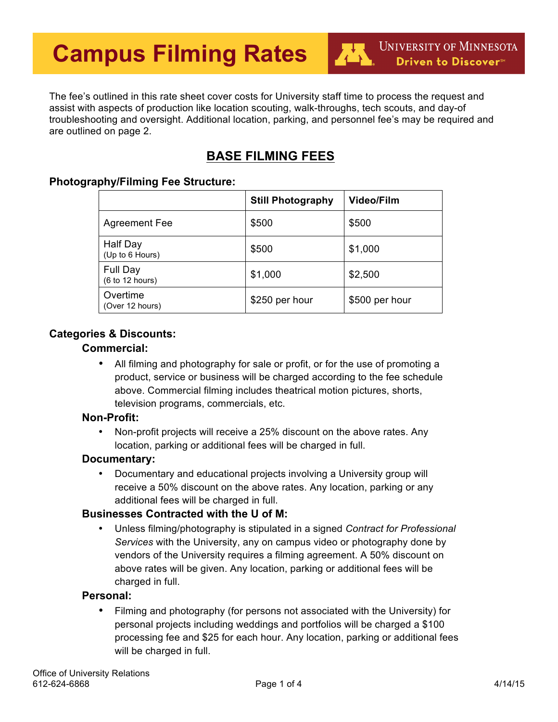The fee's outlined in this rate sheet cover costs for University staff time to process the request and assist with aspects of production like location scouting, walk-throughs, tech scouts, and day-of troubleshooting and oversight. Additional location, parking, and personnel fee's may be required and are outlined on page 2.

# **BASE FILMING FEES**

## **Photography/Filming Fee Structure:**

|                             | <b>Still Photography</b> | <b>Video/Film</b> |
|-----------------------------|--------------------------|-------------------|
| <b>Agreement Fee</b>        | \$500                    | \$500             |
| Half Day<br>(Up to 6 Hours) | \$500                    | \$1,000           |
| Full Day<br>(6 to 12 hours) | \$1,000                  | \$2,500           |
| Overtime<br>(Over 12 hours) | \$250 per hour           | \$500 per hour    |

## **Categories & Discounts:**

## **Commercial:**

• All filming and photography for sale or profit, or for the use of promoting a product, service or business will be charged according to the fee schedule above. Commercial filming includes theatrical motion pictures, shorts, television programs, commercials, etc.

#### **Non-Profit:**

• Non-profit projects will receive a 25% discount on the above rates. Any location, parking or additional fees will be charged in full.

## **Documentary:**

• Documentary and educational projects involving a University group will receive a 50% discount on the above rates. Any location, parking or any additional fees will be charged in full.

## **Businesses Contracted with the U of M:**

• Unless filming/photography is stipulated in a signed *Contract for Professional Services* with the University, any on campus video or photography done by vendors of the University requires a filming agreement. A 50% discount on above rates will be given. Any location, parking or additional fees will be charged in full.

## **Personal:**

• Filming and photography (for persons not associated with the University) for personal projects including weddings and portfolios will be charged a \$100 processing fee and \$25 for each hour. Any location, parking or additional fees will be charged in full.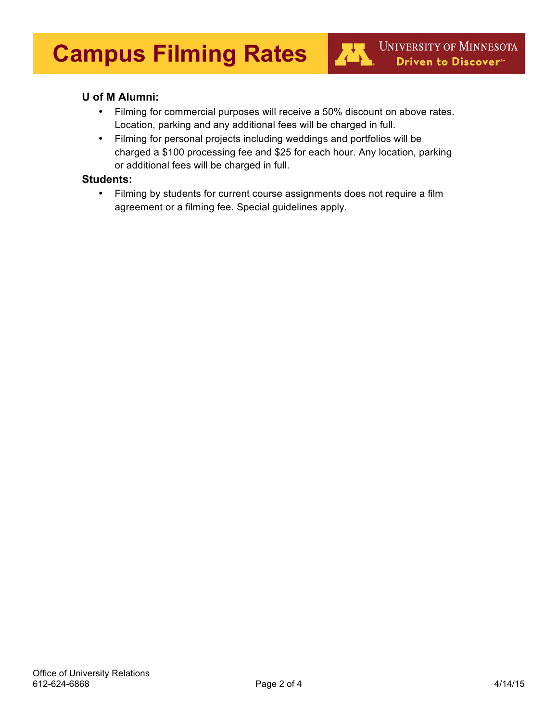# **U of M Alumni:**

• Filming for commercial purposes will receive a 50% discount on above rates. Location, parking and any additional fees will be charged in full.

杜

• Filming for personal projects including weddings and portfolios will be charged a \$100 processing fee and \$25 for each hour. Any location, parking or additional fees will be charged in full.

#### **Students:**

• Filming by students for current course assignments does not require a film agreement or a filming fee. Special guidelines apply.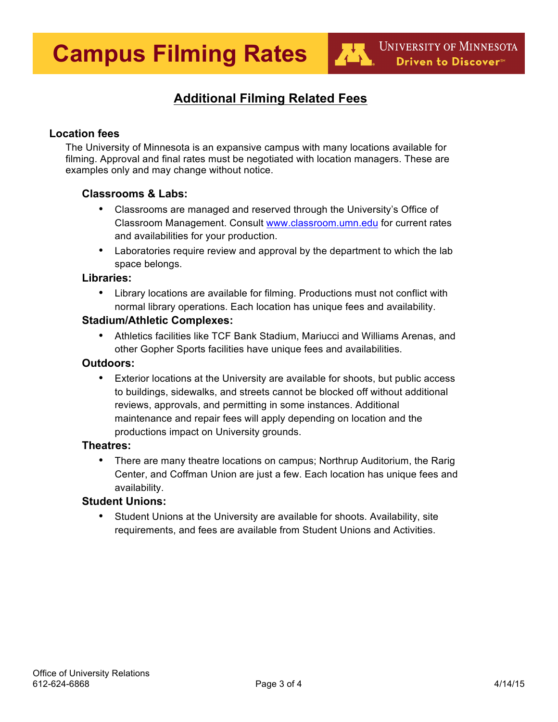# **Additional Filming Related Fees**

# **Location fees**

The University of Minnesota is an expansive campus with many locations available for filming. Approval and final rates must be negotiated with location managers. These are examples only and may change without notice.

## **Classrooms & Labs:**

- Classrooms are managed and reserved through the University's Office of Classroom Management. Consult www.classroom.umn.edu for current rates and availabilities for your production.
- Laboratories require review and approval by the department to which the lab space belongs.

#### **Libraries:**

• Library locations are available for filming. Productions must not conflict with normal library operations. Each location has unique fees and availability.

## **Stadium/Athletic Complexes:**

• Athletics facilities like TCF Bank Stadium, Mariucci and Williams Arenas, and other Gopher Sports facilities have unique fees and availabilities.

#### **Outdoors:**

• Exterior locations at the University are available for shoots, but public access to buildings, sidewalks, and streets cannot be blocked off without additional reviews, approvals, and permitting in some instances. Additional maintenance and repair fees will apply depending on location and the productions impact on University grounds.

#### **Theatres:**

• There are many theatre locations on campus; Northrup Auditorium, the Rarig Center, and Coffman Union are just a few. Each location has unique fees and availability.

## **Student Unions:**

• Student Unions at the University are available for shoots. Availability, site requirements, and fees are available from Student Unions and Activities.